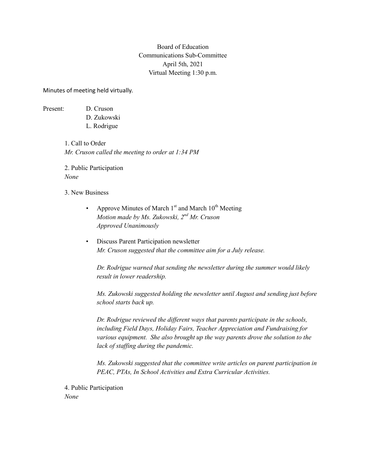## Board of Education Communications Sub-Committee April 5th, 2021 Virtual Meeting 1:30 p.m.

Minutes of meeting held virtually.

Present: D. Cruson

D. Zukowski L. Rodrigue

1. Call to Order *Mr. Cruson called the meeting to order at 1:34 PM*

2. Public Participation *None*

3. New Business

- Approve Minutes of March  $1<sup>st</sup>$  and March  $10<sup>th</sup>$  Meeting *Motion made by Ms. Zukowski, 2nd Mr. Cruson Approved Unanimously*
- Discuss Parent Participation newsletter *Mr. Cruson suggested that the committee aim for a July release.*

*Dr. Rodrigue warned that sending the newsletter during the summer would likely result in lower readership.* 

*Ms. Zukowski suggested holding the newsletter until August and sending just before school starts back up.*

*Dr. Rodrigue reviewed the different ways that parents participate in the schools, including Field Days, Holiday Fairs, Teacher Appreciation and Fundraising for various equipment. She also brought up the way parents drove the solution to the lack of staffing during the pandemic.*

*Ms. Zukowski suggested that the committee write articles on parent participation in PEAC, PTAs, In School Activities and Extra Curricular Activities.*

4. Public Participation *None*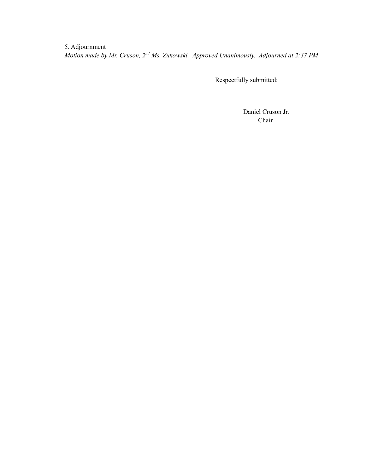5. Adjournment *Motion made by Mr. Cruson, 2nd Ms. Zukowski. Approved Unanimously. Adjourned at 2:37 PM*

Respectfully submitted:

 Daniel Cruson Jr. Chair

 $\mathcal{L}_\text{max}$  , where  $\mathcal{L}_\text{max}$  , we are the set of the set of the set of the set of the set of the set of the set of the set of the set of the set of the set of the set of the set of the set of the set of the set of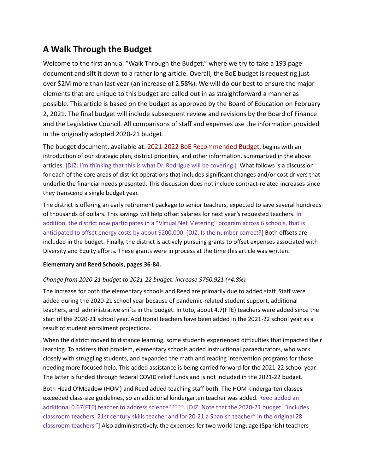# **A Walk Through the Budget**

Welcome to the first annual "Walk Through the Budget," where we try to take a 193 page document and sift it down to a rather long article. Overall, the BoE budget is requesting just over \$2M more than last year (an increase of 2.58%). We will do our best to ensure the major elements that are unique to this budget are called out in as straightforward a manner as possible. This article is based on the budget as approved by the Board of Education on February 2, 2021. The final budget will include subsequent review and revisions by the Board of Finance and the Legislative Council. All comparisons of staff and expenses use the information provided in the originally adopted 2020-21 budget.

The budget document, available at[: 2021-2022 BoE Recommended Budget,](https://www.newtown.k12.ct.us/_theme/files/Board%20of%20Education/BOE%20Budgets/2021-2022%20Budgets/BOE%20%20Budget%20-%20Final.pdf) begins with an introduction of our strategic plan, district priorities, and other information, summarized in the above articles. [DJZ: I'm thinking that this is what Dr. Rodrigue will be covering.] What follows is a discussion for each of the core areas of district operations that includes significant changes and/or cost drivers that underlie the financial needs presented. This discussion does not include contract-related increases since they transcend a single budget year.

The district is offering an early retirement package to senior teachers, expected to save several hundreds of thousands of dollars. This savings will help offset salaries for next year's requested teachers. In addition, the district now participates in a "Virtual Net Metering" program across 6 schools, that is anticipated to offset energy costs by about \$200,000. [DJZ: Is the number correct?] Both offsets are included in the budget. Finally, the district is actively pursuing grants to offset expenses associated with Diversity and Equity efforts. These grants were in process at the time this article was written.

#### **Elementary and Reed Schools, pages 36-84.**

#### *Change from 2020-21 budget to 2021-22 budget: increase \$750,921 (+4.8%)*

The increase for both the elementary schools and Reed are primarily due to added staff. Staff were added during the 2020-21 school year because of pandemic-related student support, additional teachers, and administrative shifts in the budget. In toto, about 4.7(FTE) teachers were added since the start of the 2020-21 school year. Additional teachers have been added in the 2021-22 school year as a result of student enrollment projections.

When the district moved to distance learning, some students experienced difficulties that impacted their learning. To address that problem, elementary schools added instructional paraeducators, who work closely with struggling students, and expanded the math and reading intervention programs for those needing more focused help. This added assistance is being carried forward for the 2021-22 school year. The latter is funded through federal COVID relief funds and is not included in the 2021-22 budget.

Both Head O'Meadow (HOM) and Reed added teaching staff both. The HOM kindergarten classes exceeded class-size guidelines, so an additional kindergarten teacher was added. Reed added an additional 0.67(FTE) teacher to address science?????. [DJZ: Note that the 2020-21 budget "includes classroom teachers, 21st century skills teacher and for 20-21 a Spanish teacher" in the original 28 classroom teachers."] Also administratively, the expenses for two world language (Spanish) teachers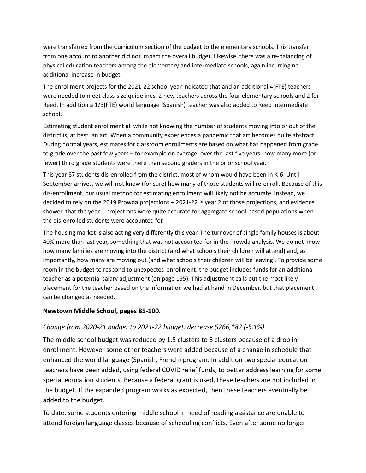were transferred from the Curriculum section of the budget to the elementary schools. This transfer from one account to another did not impact the overall budget. Likewise, there was a re-balancing of physical education teachers among the elementary and intermediate schools, again incurring no additional increase in budget.

The enrollment projects for the 2021-22 school year indicated that and an additional 4(FTE) teachers were needed to meet class-size quidelines, 2 new teachers across the four elementary schools and 2 for Reed. In addition a 1/3(FTE) world language (Spanish) teacher was also added to Reed intermediate school.

Estimating student enrollment all while not knowing the number of students moving into or out of the district is, at best, an art. When a community experiences a pandemic that art becomes quite abstract. During normal years, estimates for classroom enrollments are based on what has happened from grade to grade over the past few years – for example on average, over the last five years, how many more (or fewer) third grade students were there than second graders in the prior school year.

This year 67 students dis-enrolled from the district, most of whom would have been in K-6. Until September arrives, we will not know (for sure) how many of those students will re-enroll. Because of this dis-enrollment, our usual method for estimating enrollment will likely not be accurate. Instead, we decided to rely on the 2019 Prowda projections – 2021-22 is year 2 of those projections, and evidence showed that the year 1 projections were quite accurate for aggregate school-based populations when the dis-enrolled students were accounted for.

The housing market is also acting very differently this year. The turnover of single family houses is about 40% more than last year, something that was not accounted for in the Prowda analysis. We do not know how many families are moving into the district (and what schools their children will attend) and, as importantly, how many are moving out (and what schools their children will be leaving). To provide some room in the budget to respond to unexpected enrollment, the budget includes funds for an additional teacher as a potential salary adjustment (on page 155). This adjustment calls out the most likely placement for the teacher based on the information we had at hand in December, but that placement can be changed as needed.

#### **Newtown Middle School, pages 85-100.**

## *Change from 2020-21 budget to 2021-22 budget: decrease \$266,182 (-5.1%)*

The middle school budget was reduced by 1.5 clusters to 6 clusters because of a drop in enrollment. However some other teachers were added because of a change in schedule that enhanced the world language (Spanish, French) program. In addition two special education teachers have been added, using federal COVID relief funds, to better address learning for some special education students. Because a federal grant is used, these teachers are not included in the budget. If the expanded program works as expected, then these teachers eventually be added to the budget.

To date, some students entering middle school in need of reading assistance are unable to attend foreign language classes because of scheduling conflicts. Even after some no longer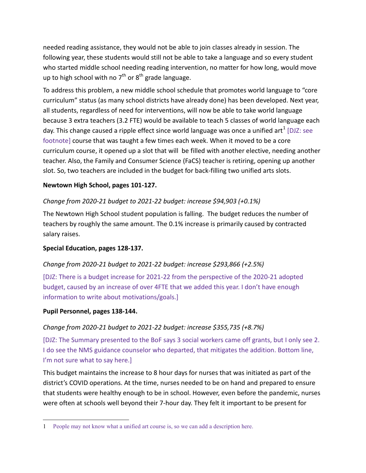needed reading assistance, they would not be able to join classes already in session. The following year, these students would still not be able to take a language and so every student who started middle school needing reading intervention, no matter for how long, would move up to high school with no  $7<sup>th</sup>$  or  $8<sup>th</sup>$  grade language.

To address this problem, a new middle school schedule that promotes world language to "core curriculum" status (as many school districts have already done) has been developed. Next year, all students, regardless of need for interventions, will now be able to take world language because 3 extra teachers (3.2 FTE) would be available to teach 5 classes of world language each day. This change caused a ripple effect since world language was once a unified art<sup>[1](#page-4-0)</sup> [DJZ: see footnote] course that was taught a few times each week. When it moved to be a core curriculum course, it opened up a slot that will be filled with another elective, needing another teacher. Also, the Family and Consumer Science (FaCS) teacher is retiring, opening up another slot. So, two teachers are included in the budget for back-filling two unified arts slots.

## **Newtown High School, pages 101-127.**

# *Change from 2020-21 budget to 2021-22 budget: increase \$94,903 (+0.1%)*

The Newtown High School student population is falling. The budget reduces the number of teachers by roughly the same amount. The 0.1% increase is primarily caused by contracted salary raises.

## **Special Education, pages 128-137.**

## *Change from 2020-21 budget to 2021-22 budget: increase \$293,866 (+2.5%)*

[DJZ: There is a budget increase for 2021-22 from the perspective of the 2020-21 adopted budget, caused by an increase of over 4FTE that we added this year. I don't have enough information to write about motivations/goals.]

## **Pupil Personnel, pages 138-144.**

 $\overline{a}$ 

## *Change from 2020-21 budget to 2021-22 budget: increase \$355,735 (+8.7%)*

[DJZ: The Summary presented to the BoF says 3 social workers came off grants, but I only see 2. I do see the NMS guidance counselor who departed, that mitigates the addition. Bottom line, I'm not sure what to say here.]

This budget maintains the increase to 8 hour days for nurses that was initiated as part of the district's COVID operations. At the time, nurses needed to be on hand and prepared to ensure that students were healthy enough to be in school. However, even before the pandemic, nurses were often at schools well beyond their 7-hour day. They felt it important to be present for

<span id="page-4-0"></span><sup>1</sup> People may not know what a unified art course is, so we can add a description here.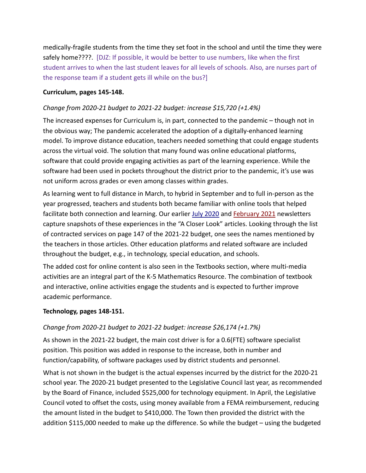medically-fragile students from the time they set foot in the school and until the time they were safely home????. [DJZ: If possible, it would be better to use numbers, like when the first student arrives to when the last student leaves for all levels of schools. Also, are nurses part of the response team if a student gets ill while on the bus?]

#### **Curriculum, pages 145-148.**

#### *Change from 2020-21 budget to 2021-22 budget: increase \$15,720 (+1.4%)*

The increased expenses for Curriculum is, in part, connected to the pandemic – though not in the obvious way; The pandemic accelerated the adoption of a digitally-enhanced learning model. To improve distance education, teachers needed something that could engage students across the virtual void. The solution that many found was online educational platforms, software that could provide engaging activities as part of the learning experience. While the software had been used in pockets throughout the district prior to the pandemic, it's use was not uniform across grades or even among classes within grades.

As learning went to full distance in March, to hybrid in September and to full in-person as the year progressed, teachers and students both became familiar with online tools that helped facilitate both connection and learning. Our earlier [July 2020](http://www.newtown.k12.ct.us/_theme/files/Board%20of%20Education/BOE%20Newsletters/2020-2021/District%20Highlights%207020.pdf) and [February 2021](http://www.newtown.k12.ct.us/_theme/files/Board%20of%20Education/BOE%20Newsletters/2020-2021/District%20Highlights%20Vol%201%20Issue%203_Feb_2021.pdf) newsletters capture snapshots of these experiences in the "A Closer Look" articles. Looking through the list of contracted services on page 147 of the 2021-22 budget, one sees the names mentioned by the teachers in those articles. Other education platforms and related software are included throughout the budget, e.g., in technology, special education, and schools.

The added cost for online content is also seen in the Textbooks section, where multi-media activities are an integral part of the K-5 Mathematics Resource. The combination of textbook and interactive, online activities engage the students and is expected to further improve academic performance.

#### **Technology, pages 148-151.**

## *Change from 2020-21 budget to 2021-22 budget: increase \$26,174 (+1.7%)*

As shown in the 2021-22 budget, the main cost driver is for a 0.6(FTE) software specialist position. This position was added in response to the increase, both in number and function/capability, of software packages used by district students and personnel.

What is not shown in the budget is the actual expenses incurred by the district for the 2020-21 school year. The 2020-21 budget presented to the Legislative Council last year, as recommended by the Board of Finance, included \$525,000 for technology equipment. In April, the Legislative Council voted to offset the costs, using money available from a FEMA reimbursement, reducing the amount listed in the budget to \$410,000. The Town then provided the district with the addition \$115,000 needed to make up the difference. So while the budget – using the budgeted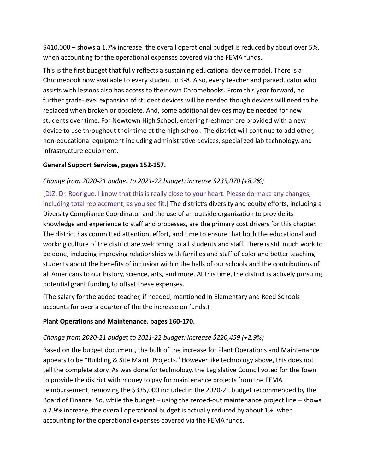\$410,000 – shows a 1.7% increase, the overall operational budget is reduced by about over 5%, when accounting for the operational expenses covered via the FEMA funds.

This is the first budget that fully reflects a sustaining educational device model. There is a Chromebook now available to every student in K-8. Also, every teacher and paraeducator who assists with lessons also has access to their own Chromebooks. From this year forward, no further grade-level expansion of student devices will be needed though devices will need to be replaced when broken or obsolete. And, some additional devices may be needed for new students over time. For Newtown High School, entering freshmen are provided with a new device to use throughout their time at the high school. The district will continue to add other, non-educational equipment including administrative devices, specialized lab technology, and infrastructure equipment.

#### **General Support Services, pages 152-157.**

#### *Change from 2020-21 budget to 2021-22 budget: increase \$235,070 (+8.2%)*

[DJZ: Dr. Rodrigue. I know that this is really close to your heart. Please do make any changes, including total replacement, as you see fit.] The district's diversity and equity efforts, including a Diversity Compliance Coordinator and the use of an outside organization to provide its knowledge and experience to staff and processes, are the primary cost drivers for this chapter. The district has committed attention, effort, and time to ensure that both the educational and working culture of the district are welcoming to all students and staff. There is still much work to be done, including improving relationships with families and staff of color and better teaching students about the benefits of inclusion within the halls of our schools and the contributions of all Americans to our history, science, arts, and more. At this time, the district is actively pursuing potential grant funding to offset these expenses.

(The salary for the added teacher, if needed, mentioned in Elementary and Reed Schools accounts for over a quarter of the the increase on funds.)

#### **Plant Operations and Maintenance, pages 160-170.**

#### *Change from 2020-21 budget to 2021-22 budget: increase \$220,459 (+2.9%)*

Based on the budget document, the bulk of the increase for Plant Operations and Maintenance appears to be "Building & Site Maint. Projects." However like technology above, this does not tell the complete story. As was done for technology, the Legislative Council voted for the Town to provide the district with money to pay for maintenance projects from the FEMA reimbursement, removing the \$335,000 included in the 2020-21 budget recommended by the Board of Finance. So, while the budget – using the zeroed-out maintenance project line – shows a 2.9% increase, the overall operational budget is actually reduced by about 1%, when accounting for the operational expenses covered via the FEMA funds.